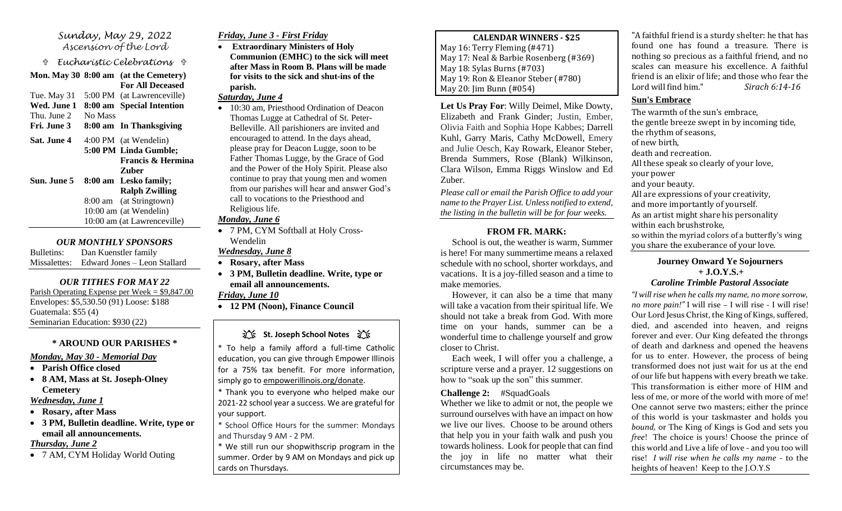### *Sunday, May 29, 2022 Ascension of the Lord*

 *Eucharistic Celebrations* 

**Mon. May 30 8:00 am (at the Cemetery) For All Deceased** Tue. May 31 5:00 PM (at Lawrenceville)

**Wed. June 1 8:00 am Special Intention** Thu. June 2 No Mass **Fri. June 3 8:00 am In Thanksgiving Sat. June 4** 4:00 PM (at Wendelin) **5:00 PM Linda Gumble; Francis & Hermina Zuber Sun. June 5 8:00 am Lesko family; Ralph Zwilling**

8:00 am (at Stringtown) 10:00 am (at Wendelin) 10:00 am (at Lawrenceville)

### *OUR MONTHLY SPONSORS*

Bulletins: Dan Kuenstler family Missalettes: Edward Jones – Leon Stallard

### *OUR TITHES FOR MAY 22*

Parish Operating Expense per Week = \$9,847.00 Envelopes: \$5,530.50 (91) Loose: \$188 Guatemala: \$55 (4) Seminarian Education: \$930 (22)

# **\* AROUND OUR PARISHES \***

### *Monday, May 30 - Memorial Day*

- **Parish Office closed**
- **8 AM, Mass at St. Joseph-Olney Cemetery**

## *Wednesday, June 1*

- **Rosary, after Mass**
- **3 PM, Bulletin deadline. Write, type or email all announcements.**

### *Thursday, June 2*

• 7 AM, CYM Holiday World Outing

# *Friday, June 3 - First Friday*

• **Extraordinary Ministers of Holy Communion (EMHC) to the sick will meet after Mass in Room B. Plans will be made for visits to the sick and shut-ins of the parish.**

# *Saturday, June 4*

• 10:30 am, Priesthood Ordination of Deacon Thomas Lugge at Cathedral of St. Peter-Belleville. All parishioners are invited and encouraged to attend. In the days ahead, please pray for Deacon Lugge, soon to be Father Thomas Lugge, by the Grace of God and the Power of the Holy Spirit. Please also continue to pray that young men and women from our parishes will hear and answer God's call to vocations to the Priesthood and Religious life.

## *Monday, June 6*

• 7 PM, CYM Softball at Holy Cross-Wendelin

# *Wednesday, June 8*

- **Rosary, after Mass**
- **3 PM, Bulletin deadline. Write, type or email all announcements.**

### *Friday, June 10*

• **12 PM (Noon), Finance Council** 

# 江**、St. Joseph School Notes** 江

\* To help a family afford a full-time Catholic education, you can give through Empower Illinois for a 75% tax benefit. For more information, simply go t[o empowerillinois.org/donate.](http://empowerillinois.org/donate)

\* Thank you to everyone who helped make our 2021-22 school year a success. We are grateful for your support.

\* School Office Hours for the summer: Mondays and Thursday 9 AM - 2 PM.

\* We still run our shopwithscrip program in the summer. Order by 9 AM on Mondays and pick up cards on Thursdays.

### **CALENDAR WINNERS - \$25** May 16: Terry Fleming (#471) May 17: Neal & Barbie Rosenberg (#369) May 18: Sylas Burns (#703) May 19: Ron & Eleanor Steber (#780) May 20: Jim Bunn (#054)

**Let Us Pray For**: Willy Deimel, Mike Dowty, Elizabeth and Frank Ginder; Justin, Ember, Olivia Faith and Sophia Hope Kabbes; Darrell Kuhl, Garry Maris, Cathy McDowell, Emery and Julie Oesch, Kay Rowark, Eleanor Steber, Brenda Summers, Rose (Blank) Wilkinson, Clara Wilson, Emma Riggs Winslow and Ed Zuber.

*Please call or email the Parish Office to add your name to the Prayer List. Unless notified to extend, the listing in the bulletin will be for four weeks.*

# **FROM FR. MARK:**

 School is out, the weather is warm, Summer is here! For many summertime means a relaxed schedule with no school, shorter workdays, and vacations. It is a joy-filled season and a time to make memories.

 However, it can also be a time that many will take a vacation from their spiritual life. We should not take a break from God. With more time on your hands, summer can be a wonderful time to challenge yourself and grow closer to Christ.

 Each week, I will offer you a challenge, a scripture verse and a prayer. 12 suggestions on how to "soak up the son" this summer.

# **Challenge 2:** #SquadGoals

Whether we like to admit or not, the people we surround ourselves with have an impact on how we live our lives. Choose to be around others that help you in your faith walk and push you towards holiness. Look for people that can find the joy in life no matter what their circumstances may be.

"A faithful friend is a sturdy shelter: he that has found one has found a treasure. There is nothing so precious as a faithful friend, and no scales can measure his excellence. A faithful friend is an elixir of life; and those who fear the Lord will find him." *Sirach 6:14-16*

# **Sun's Embrace**

The warmth of the sun's embrace, the gentle breeze swept in by incoming tide, the rhythm of seasons, of new birth, death and recreation. All these speak so clearly of your love, your power and your beauty. All are expressions of your creativity, and more importantly of yourself. As an artist might share his personality within each brushstroke, so within the myriad colors of a butterfly's wing you share the exuberance of your love.

### **Journey Onward Ye Sojourners + J.O.Y.S.+**  *Caroline Trimble Pastoral Associate*

*"I will rise when he calls my name, no more sorrow, no more pain!"* I will rise – I will rise - I will rise! Our Lord Jesus Christ, the King of Kings, suffered, died, and ascended into heaven, and reigns forever and ever. Our King defeated the throngs of death and darkness and opened the heavens for us to enter. However, the process of being transformed does not just wait for us at the end of our life but happens with every breath we take. This transformation is either more of HIM and less of me, or more of the world with more of me! One cannot serve two masters; either the prince of this world is your taskmaster and holds you *bound,* or The King of Kings is God and sets you *free*! The choice is yours! Choose the prince of this world and Live a life of love - and you too will rise! *I will rise when he calls my name* - to the heights of heaven!Keep to the J.O.Y.S